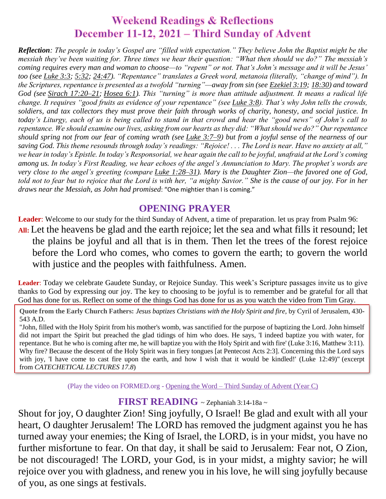# **Weekend Readings & Reflections** December 11-12, 2021 – Third Sunday of Advent

*Reflection: The people in today's Gospel are "filled with expectation." They believe John the Baptist might be the messiah they've been waiting for. Three times we hear their question: "What then should we do?" The messiah's coming requires every man and woman to choose—to "repent" or not. That's John's message and it will be Jesus' too (see [Luke](https://biblia.com/bible/rsvce/Luke%203.3) 3:3; [5:32;](https://biblia.com/bible/rsvce/Luke%205.32) [24:47\)](https://biblia.com/bible/rsvce/Luke%2024.47). "Repentance" translates a Greek word, metanoia (literally, "change of mind"). In the Scriptures, repentance is presented as a twofold "turning"—away from sin (see [Ezekiel](https://biblia.com/bible/rsvce/Ezek%203.19) 3:19; [18:30\)](https://biblia.com/bible/rsvce/Ezekiel%2018.30) and toward God (see Sirach [17:20–21;](https://biblia.com/bible/rsvce/Sirach%2017.20%E2%80%9321) [Hosea](https://biblia.com/bible/rsvce/Hos%206.1) 6:1). This "turning" is more than attitude adjustment. It means a radical life change. It requires "good fruits as evidence of your repentance" (see [Luke](https://biblia.com/bible/rsvce/Luke%203.8) 3:8). That's why John tells the crowds, soldiers, and tax collectors they must prove their faith through works of charity, honesty, and social justice. In today's Liturgy, each of us is being called to stand in that crowd and hear the "good news" of John's call to repentance. We should examine our lives, asking from our hearts as they did: "What should we do?" Our repentance should spring not from our fear of coming wrath (see Luke [3:7–9\)](https://biblia.com/bible/rsvce/Luke%203.7%E2%80%939) but from a joyful sense of the nearness of our saving God. This theme resounds through today's readings: "Rejoice! . . . The Lord is near. Have no anxiety at all," we hear in today's Epistle. In today's Responsorial, we hear again the call to be joyful, unafraid at the Lord's coming among us. In today's First Reading, we hear echoes of the angel's Annunciation to Mary. The prophet's words are very close to the angel's greeting (compare Luke [1:28–31\)](https://biblia.com/bible/rsvce/Luke%201.28%E2%80%9331). Mary is the Daughter Zion—the favored one of God, told not to fear but to rejoice that the Lord is with her, "a mighty Savior." She is the cause of our joy. For in her draws near the Messiah, as John had promised*: "One mightier than I is coming."

## **OPENING PRAYER**

**Leader**: Welcome to our study for the third Sunday of Advent, a time of preparation. let us pray from Psalm 96: **All:** Let the heavens be glad and the earth rejoice; let the sea and what fills it resound; let the plains be joyful and all that is in them. Then let the trees of the forest rejoice before the Lord who comes, who comes to govern the earth; to govern the world with justice and the peoples with faithfulness. Amen.

**Leader**: Today we celebrate Gaudete Sunday, or Rejoice Sunday. This week's Scripture passages invite us to give thanks to God by expressing our joy. The key to choosing to be joyful is to remember and be grateful for all that God has done for us. Reflect on some of the things God has done for us as you watch the video from Tim Gray.

**Quote from the Early Church Fathers:** *Jesus baptizes Christians with the Holy Spirit and fire,* by Cyril of Jerusalem, 430- 543 A.D.

"John, filled with the Holy Spirit from his mother's womb, was sanctified for the purpose of baptizing the Lord. John himself did not impart the Spirit but preached the glad tidings of him who does. He says, 'I indeed baptize you with water, for repentance. But he who is coming after me, he will baptize you with the Holy Spirit and with fire' (Luke 3:16, Matthew 3:11). Why fire? Because the descent of the Holy Spirit was in fiery tongues [at Pentecost Acts 2:3]. Concerning this the Lord says with joy, 'I have come to cast fire upon the earth, and how I wish that it would be kindled!' (Luke 12:49)" (excerpt from *CATECHETICAL LECTURES 17.8*)

(Play the video on FORMED.org - Opening the Word – Third [Sunday of Advent \(Year C\)](https://watch.formed.org/opening-the-word-1/season:2/videos/3rd-sunday-of-advent-december-17-2017)

#### **FIRST READING** ~ Zephaniah 3:14-18a <sup>~</sup>

Shout for joy, O daughter Zion! Sing joyfully, O Israel! Be glad and exult with all your heart, O daughter Jerusalem! The LORD has removed the judgment against you he has turned away your enemies; the King of Israel, the LORD, is in your midst, you have no further misfortune to fear. On that day, it shall be said to Jerusalem: Fear not, O Zion, be not discouraged! The LORD, your God, is in your midst, a mighty savior; he will rejoice over you with gladness, and renew you in his love, he will sing joyfully because of you, as one sings at festivals.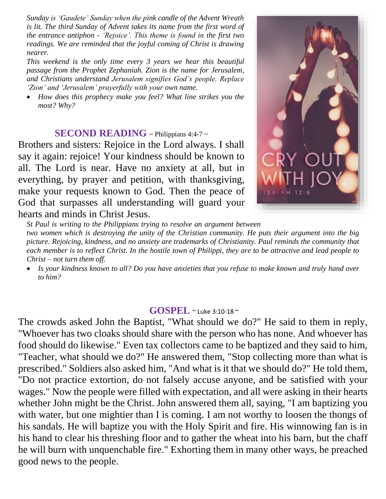*Sunday is 'Gaudete' Sunday when the pink candle of the Advent Wreath is lit. The third Sunday of Advent takes its name from the first word of the entrance antiphon - 'Rejoice'. This theme is found in the first two readings. We are reminded that the joyful coming of Christ is drawing nearer.* 

*This weekend is the only time every 3 years we hear this beautiful passage from the Prophet Zephaniah. Zion is the name for Jerusalem, and Christians understand Jerusalem signifies God's people. Replace 'Zion' and 'Jerusalem' prayerfully with your own name.* 

 *How does this prophecy make you feel? What line strikes you the most? Why?*

### **SECOND READING** ~ Philippians 4:4-7 ~

Brothers and sisters: Rejoice in the Lord always. I shall say it again: rejoice! Your kindness should be known to all. The Lord is near. Have no anxiety at all, but in everything, by prayer and petition, with thanksgiving, make your requests known to God. Then the peace of God that surpasses all understanding will guard your hearts and minds in Christ Jesus.



*St Paul is writing to the Philippians trying to resolve an argument between* 

*two women which is destroying the unity of the Christian community. He puts their argument into the big picture. Rejoicing, kindness, and no anxiety are trademarks of Christianity. Paul reminds the community that each member is to reflect Christ. In the hostile town of Philippi, they are to be attractive and lead people to Christ – not turn them off.* 

 *Is your kindness known to all? Do you have anxieties that you refuse to make known and truly hand over to him?*

#### **GOSPEL** ~ Luke 3:10-18 <sup>~</sup>

The crowds asked John the Baptist, "What should we do?" He said to them in reply, "Whoever has two cloaks should share with the person who has none. And whoever has food should do likewise." Even tax collectors came to be baptized and they said to him, "Teacher, what should we do?" He answered them, "Stop collecting more than what is prescribed." Soldiers also asked him, "And what is it that we should do?" He told them, "Do not practice extortion, do not falsely accuse anyone, and be satisfied with your wages." Now the people were filled with expectation, and all were asking in their hearts whether John might be the Christ. John answered them all, saying, "I am baptizing you with water, but one mightier than I is coming. I am not worthy to loosen the thongs of his sandals. He will baptize you with the Holy Spirit and fire. His winnowing fan is in his hand to clear his threshing floor and to gather the wheat into his barn, but the chaff he will burn with unquenchable fire." Exhorting them in many other ways, he preached good news to the people.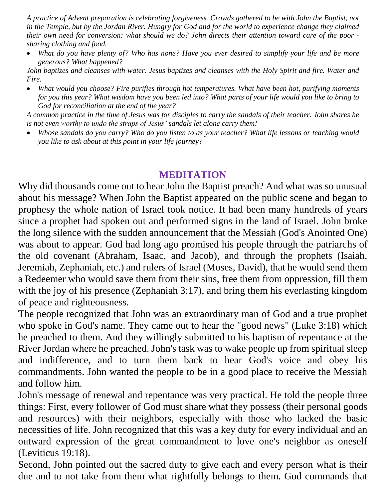*A practice of Advent preparation is celebrating forgiveness. Crowds gathered to be with John the Baptist, not in the Temple, but by the Jordan River. Hungry for God and for the world to experience change they claimed their own need for conversion: what should we do? John directs their attention toward care of the poor sharing clothing and food.* 

 *What do you have plenty of? Who has none? Have you ever desired to simplify your life and be more generous? What happened?*

*John baptizes and cleanses with water. Jesus baptizes and cleanses with the Holy Spirit and fire. Water and Fire.* 

 *What would you choose? Fire purifies through hot temperatures. What have been hot, purifying moments for you this year? What wisdom have you been led into? What parts of your life would you like to bring to God for reconciliation at the end of the year?*

*A common practice in the time of Jesus was for disciples to carry the sandals of their teacher. John shares he is not even worthy to undo the straps of Jesus' sandals let alone carry them!* 

 *Whose sandals do you carry? Who do you listen to as your teacher? What life lessons or teaching would you like to ask about at this point in your life journey?*

## **MEDITATION**

Why did thousands come out to hear John the Baptist preach? And what was so unusual about his message? When John the Baptist appeared on the public scene and began to prophesy the whole nation of Israel took notice. It had been many hundreds of years since a prophet had spoken out and performed signs in the land of Israel. John broke the long silence with the sudden announcement that the Messiah (God's Anointed One) was about to appear. God had long ago promised his people through the patriarchs of the old covenant (Abraham, Isaac, and Jacob), and through the prophets (Isaiah, Jeremiah, Zephaniah, etc.) and rulers of Israel (Moses, David), that he would send them a Redeemer who would save them from their sins, free them from oppression, fill them with the joy of his presence (Zephaniah 3:17), and bring them his everlasting kingdom of peace and righteousness.

The people recognized that John was an extraordinary man of God and a true prophet who spoke in God's name. They came out to hear the "good news" (Luke 3:18) which he preached to them. And they willingly submitted to his baptism of repentance at the River Jordan where he preached. John's task was to wake people up from spiritual sleep and indifference, and to turn them back to hear God's voice and obey his commandments. John wanted the people to be in a good place to receive the Messiah and follow him.

John's message of renewal and repentance was very practical. He told the people three things: First, every follower of God must share what they possess (their personal goods and resources) with their neighbors, especially with those who lacked the basic necessities of life. John recognized that this was a key duty for every individual and an outward expression of the great commandment to love one's neighbor as oneself (Leviticus 19:18).

Second, John pointed out the sacred duty to give each and every person what is their due and to not take from them what rightfully belongs to them. God commands that